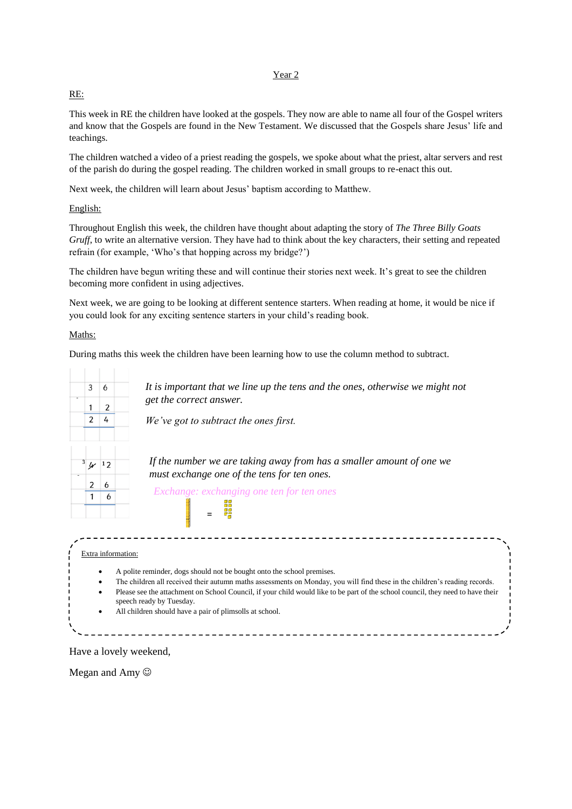#### Year 2

### RE:

This week in RE the children have looked at the gospels. They now are able to name all four of the Gospel writers and know that the Gospels are found in the New Testament. We discussed that the Gospels share Jesus' life and teachings.

The children watched a video of a priest reading the gospels, we spoke about what the priest, altar servers and rest of the parish do during the gospel reading. The children worked in small groups to re-enact this out.

Next week, the children will learn about Jesus' baptism according to Matthew.

#### English:

Throughout English this week, the children have thought about adapting the story of *The Three Billy Goats Gruff*, to write an alternative version. They have had to think about the key characters, their setting and repeated refrain (for example, 'Who's that hopping across my bridge?')

The children have begun writing these and will continue their stories next week. It's great to see the children becoming more confident in using adjectives.

Next week, we are going to be looking at different sentence starters. When reading at home, it would be nice if you could look for any exciting sentence starters in your child's reading book.

#### Maths:

During maths this week the children have been learning how to use the column method to subtract.

| 3              | 6             |  |
|----------------|---------------|--|
| 1              |               |  |
| $\overline{2}$ | $\frac{2}{4}$ |  |
|                |               |  |
|                |               |  |
| 3y             | 12            |  |
|                |               |  |
| $\frac{2}{1}$  | $\frac{6}{6}$ |  |
|                |               |  |

*It is important that we line up the tens and the ones, otherwise we might not get the correct answer.* 

*We've got to subtract the ones first.*

*If the number we are taking away from has a smaller amount of one we must exchange one of the tens for ten ones.*

*Exchange: exchanging one ten for ten ones* 

## Extra information:

A polite reminder, dogs should not be bought onto the school premises.

=

- The children all received their autumn maths assessments on Monday, you will find these in the children's reading records. Please see the attachment on School Council, if your child would like to be part of the school council, they need to have their
- speech ready by Tuesday. All children should have a pair of plimsolls at school.

## Have a lovely weekend,

Megan and Amy  $\odot$